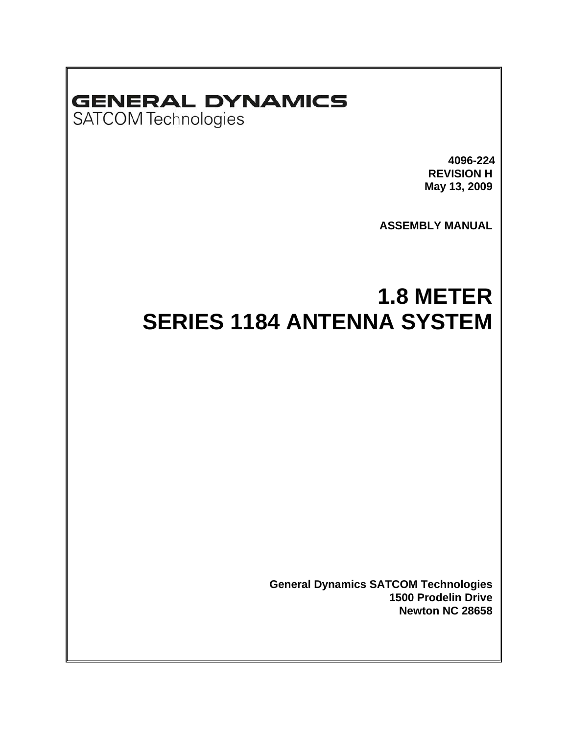# **GENERAL DYNAMICS**

SATCOM Technologies

**4096-224 REVISION H May 13, 2009** 

 **ASSEMBLY MANUAL**

# **1.8 METER SERIES 1184 ANTENNA SYSTEM**

 **General Dynamics SATCOM Technologies 1500 Prodelin Drive Newton NC 28658**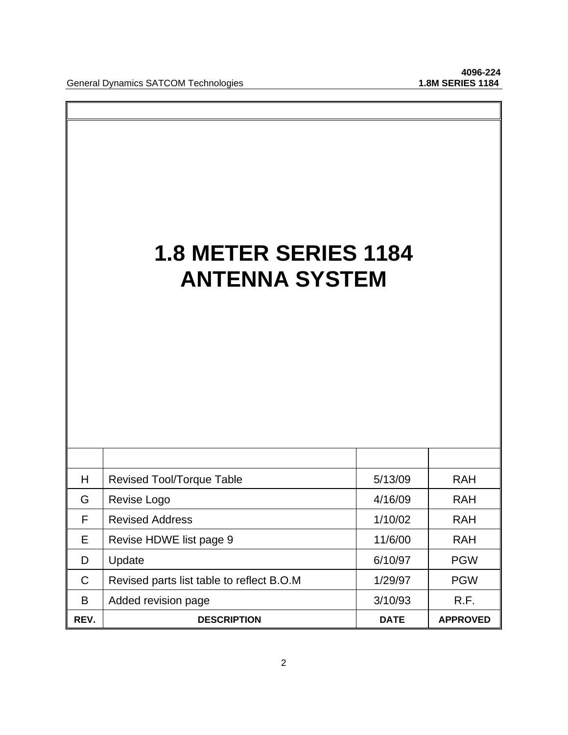$\mathsf I$ 

| <b>1.8 METER SERIES 1184</b><br><b>ANTENNA SYSTEM</b> |                                           |             |                 |  |
|-------------------------------------------------------|-------------------------------------------|-------------|-----------------|--|
| H                                                     | Revised Tool/Torque Table                 | 5/13/09     | <b>RAH</b>      |  |
| G                                                     | Revise Logo                               | 4/16/09     | <b>RAH</b>      |  |
| $\mathsf F$                                           | <b>Revised Address</b>                    | 1/10/02     | <b>RAH</b>      |  |
| E                                                     | Revise HDWE list page 9                   | 11/6/00     | <b>RAH</b>      |  |
| D                                                     | Update                                    | 6/10/97     | <b>PGW</b>      |  |
| C                                                     | Revised parts list table to reflect B.O.M | 1/29/97     | <b>PGW</b>      |  |
| B                                                     | Added revision page                       | 3/10/93     | R.F.            |  |
| REV.                                                  | <b>DESCRIPTION</b>                        | <b>DATE</b> | <b>APPROVED</b> |  |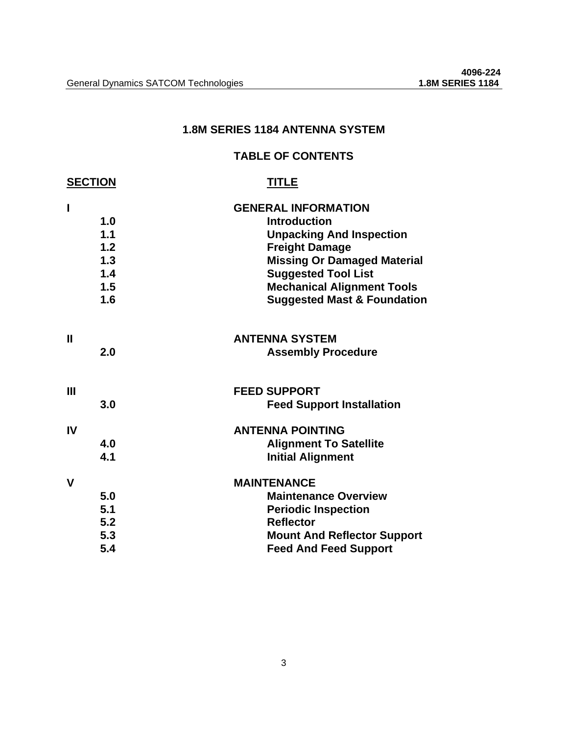# **1.8M SERIES 1184 ANTENNA SYSTEM**

# **TABLE OF CONTENTS**

# **SECTION TITLE**

|              |     | <b>GENERAL INFORMATION</b>             |
|--------------|-----|----------------------------------------|
|              | 1.0 | <b>Introduction</b>                    |
|              | 1.1 | <b>Unpacking And Inspection</b>        |
|              | 1.2 | <b>Freight Damage</b>                  |
|              | 1.3 | <b>Missing Or Damaged Material</b>     |
|              | 1.4 | <b>Suggested Tool List</b>             |
|              | 1.5 | <b>Mechanical Alignment Tools</b>      |
|              | 1.6 | <b>Suggested Mast &amp; Foundation</b> |
| $\mathbf{I}$ |     | <b>ANTENNA SYSTEM</b>                  |
|              | 2.0 | <b>Assembly Procedure</b>              |
| Ш            |     | <b>FEED SUPPORT</b>                    |
|              | 3.0 | <b>Feed Support Installation</b>       |
| IV           |     | <b>ANTENNA POINTING</b>                |
|              | 4.0 | <b>Alignment To Satellite</b>          |
|              | 4.1 | <b>Initial Alignment</b>               |
| V            |     | <b>MAINTENANCE</b>                     |
|              | 5.0 | <b>Maintenance Overview</b>            |
|              | 5.1 | <b>Periodic Inspection</b>             |
|              | 5.2 | <b>Reflector</b>                       |
|              | 5.3 | <b>Mount And Reflector Support</b>     |
|              | 5.4 | <b>Feed And Feed Support</b>           |
|              |     |                                        |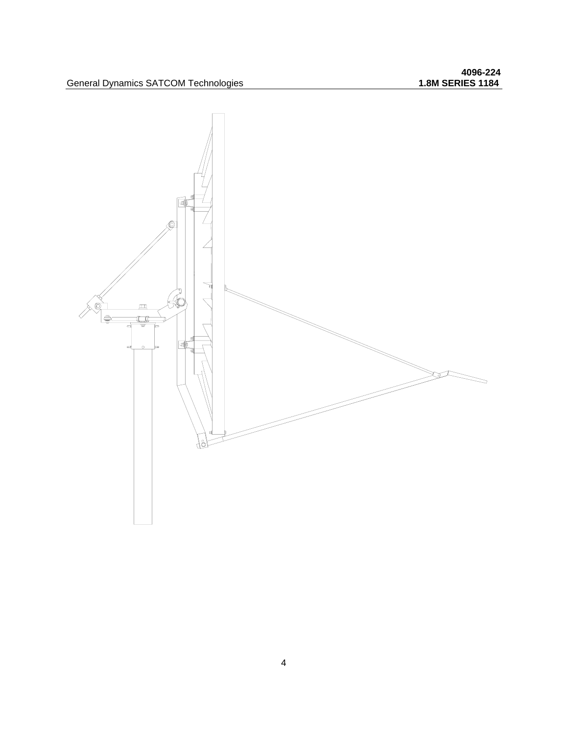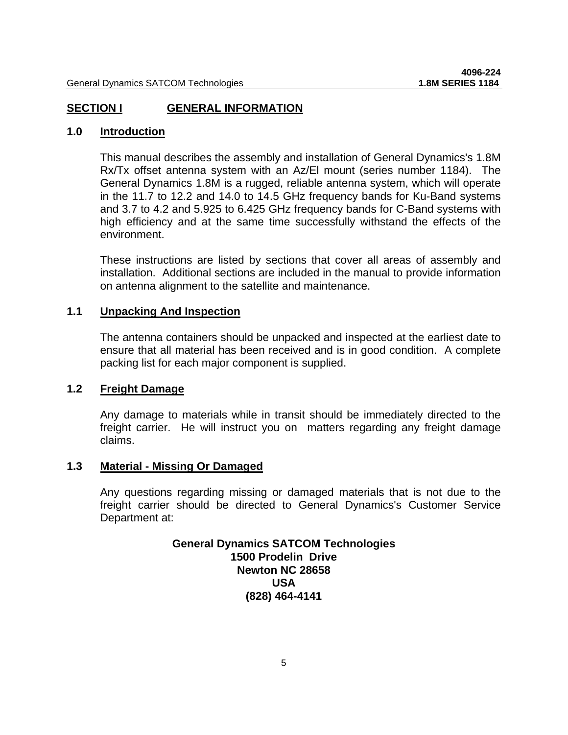### **SECTION I GENERAL INFORMATION**

#### **1.0 Introduction**

 This manual describes the assembly and installation of General Dynamics's 1.8M Rx/Tx offset antenna system with an Az/El mount (series number 1184). The General Dynamics 1.8M is a rugged, reliable antenna system, which will operate in the 11.7 to 12.2 and 14.0 to 14.5 GHz frequency bands for Ku-Band systems and 3.7 to 4.2 and 5.925 to 6.425 GHz frequency bands for C-Band systems with high efficiency and at the same time successfully withstand the effects of the environment.

 These instructions are listed by sections that cover all areas of assembly and installation. Additional sections are included in the manual to provide information on antenna alignment to the satellite and maintenance.

#### **1.1 Unpacking And Inspection**

 The antenna containers should be unpacked and inspected at the earliest date to ensure that all material has been received and is in good condition. A complete packing list for each major component is supplied.

### **1.2 Freight Damage**

Any damage to materials while in transit should be immediately directed to the freight carrier. He will instruct you on matters regarding any freight damage claims.

#### **1.3 Material - Missing Or Damaged**

Any questions regarding missing or damaged materials that is not due to the freight carrier should be directed to General Dynamics's Customer Service Department at:

 **General Dynamics SATCOM Technologies 1500 Prodelin Drive Newton NC 28658**  *USA* USA  **(828) 464-4141**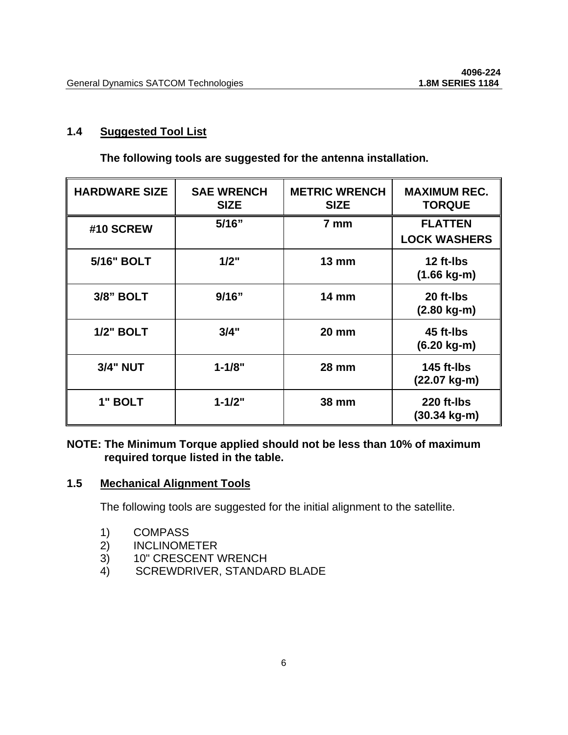# **1.4 Suggested Tool List**

 **The following tools are suggested for the antenna installation.** 

| <b>HARDWARE SIZE</b> | <b>SAE WRENCH</b><br><b>SIZE</b> | <b>METRIC WRENCH</b><br><b>SIZE</b> | <b>MAXIMUM REC.</b><br><b>TORQUE</b>        |
|----------------------|----------------------------------|-------------------------------------|---------------------------------------------|
| #10 SCREW            | 5/16"                            | $7 \text{ mm}$                      | <b>FLATTEN</b><br><b>LOCK WASHERS</b>       |
| <b>5/16" BOLT</b>    | 1/2"                             | 13 mm                               | 12 ft-lbs<br>$(1.66 kg-m)$                  |
| <b>3/8" BOLT</b>     | 9/16"                            | <b>14 mm</b>                        | 20 ft-lbs<br>$(2.80 kg-m)$                  |
| <b>1/2" BOLT</b>     | 3/4"                             | <b>20 mm</b>                        | 45 ft-lbs<br>$(6.20 \text{ kg} - \text{m})$ |
| <b>3/4" NUT</b>      | $1 - 1/8"$                       | <b>28 mm</b>                        | 145 ft- $lbs$<br>$(22.07 kg-m)$             |
| 1" BOLT              | $1 - 1/2"$                       | <b>38 mm</b>                        | 220 ft-lbs<br>$(30.34 kg-m)$                |

# **NOTE: The Minimum Torque applied should not be less than 10% of maximum required torque listed in the table.**

### **1.5 Mechanical Alignment Tools**

The following tools are suggested for the initial alignment to the satellite.

- 1) COMPASS
- 2) INCLINOMETER
- 3) 10" CRESCENT WRENCH
- 4) SCREWDRIVER, STANDARD BLADE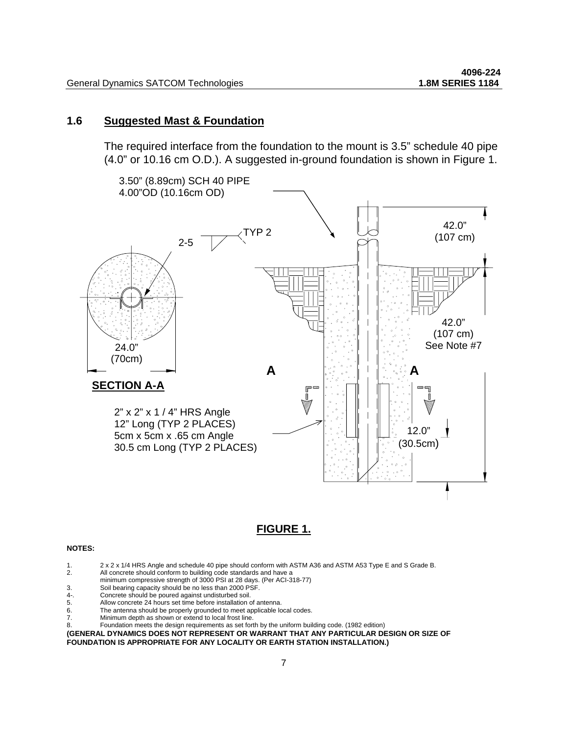#### **1.6 Suggested Mast & Foundation**

The required interface from the foundation to the mount is 3.5" schedule 40 pipe (4.0" or 10.16 cm O.D.). A suggested in-ground foundation is shown in Figure 1.



#### **FIGURE 1.**

#### **NOTES:**

1. 2 x 2 x 1/4 HRS Angle and schedule 40 pipe should conform with ASTM A36 and ASTM A53 Type E and S Grade B.<br>2. All concrete should conform to building code standards and have a

- All concrete should conform to building code standards and have a
- minimum compressive strength of 3000 PSI at 28 days. (Per ACI-318-77)<br>3. Soil bearing capacity should be no less than 2000 PSF.
- 3. Soil bearing capacity should be no less than 2000 PSF.
- 4-. Concrete should be poured against undisturbed soil.<br>5. Allow concrete 24 hours set time before installation of
- 5. Allow concrete 24 hours set time before installation of antenna.<br>6. The antenna should be properly grounded to meet applicable lo The antenna should be properly grounded to meet applicable local codes.
- 7. Minimum depth as shown or extend to local frost line.

8. Foundation meets the design requirements as set forth by the uniform building code. (1982 edition)

**(GENERAL DYNAMICS DOES NOT REPRESENT OR WARRANT THAT ANY PARTICULAR DESIGN OR SIZE OF FOUNDATION IS APPROPRIATE FOR ANY LOCALITY OR EARTH STATION INSTALLATION.)**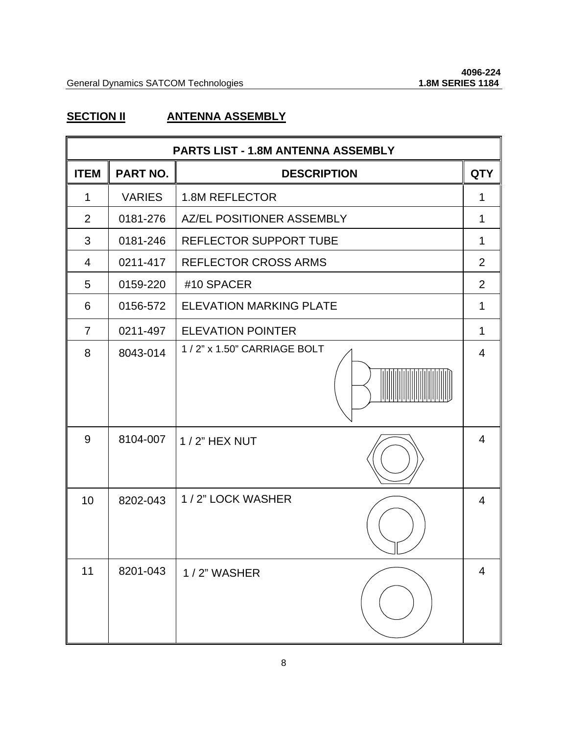# **SECTION II ANTENNA ASSEMBLY**

| <b>PARTS LIST - 1.8M ANTENNA ASSEMBLY</b> |               |                                |                |  |
|-------------------------------------------|---------------|--------------------------------|----------------|--|
| <b>ITEM</b>                               | PART NO.      | <b>DESCRIPTION</b>             | <b>QTY</b>     |  |
| $\mathbf{1}$                              | <b>VARIES</b> | <b>1.8M REFLECTOR</b>          | $\mathbf{1}$   |  |
| $\overline{2}$                            | 0181-276      | AZ/EL POSITIONER ASSEMBLY      | $\mathbf 1$    |  |
| 3                                         | 0181-246      | <b>REFLECTOR SUPPORT TUBE</b>  | $\mathbf 1$    |  |
| $\overline{4}$                            | 0211-417      | <b>REFLECTOR CROSS ARMS</b>    | $\overline{2}$ |  |
| 5                                         | 0159-220      | #10 SPACER                     | $\overline{2}$ |  |
| 6                                         | 0156-572      | <b>ELEVATION MARKING PLATE</b> | 1              |  |
| $\overline{7}$                            | 0211-497      | <b>ELEVATION POINTER</b>       | $\mathbf 1$    |  |
| 8                                         | 8043-014      | 1/2" x 1.50" CARRIAGE BOLT     | $\overline{4}$ |  |
|                                           |               |                                |                |  |
| 9                                         | 8104-007      | $1/2$ " HEX NUT                | $\overline{4}$ |  |
| 10                                        | 8202-043      | 1/2" LOCK WASHER               | $\overline{4}$ |  |
| 11                                        | 8201-043      | 1/2" WASHER                    | $\overline{4}$ |  |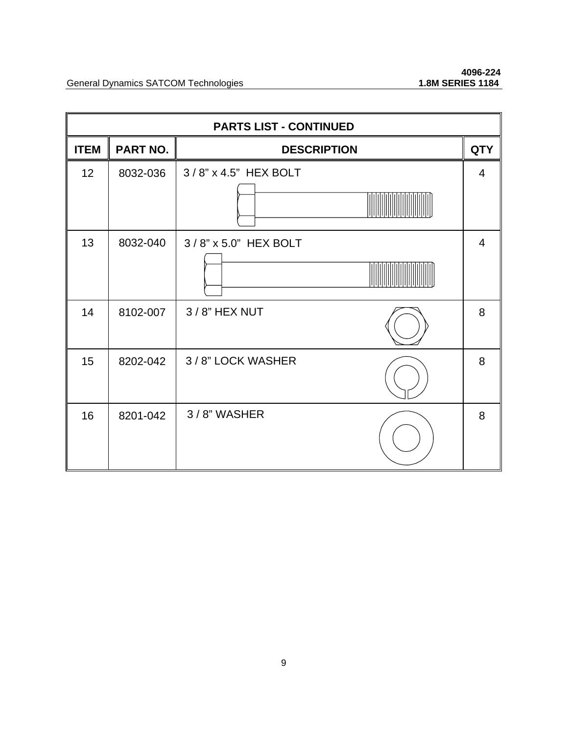| <b>PARTS LIST - CONTINUED</b> |          |                      |                |  |
|-------------------------------|----------|----------------------|----------------|--|
| <b>ITEM</b>                   | PART NO. | <b>DESCRIPTION</b>   | <b>QTY</b>     |  |
| 12                            | 8032-036 | 3/8" x 4.5" HEX BOLT | $\overline{4}$ |  |
| 13                            | 8032-040 | 3/8" x 5.0" HEX BOLT | 4              |  |
| 14                            | 8102-007 | 3 / 8" HEX NUT       | 8              |  |
| 15                            | 8202-042 | 3/8" LOCK WASHER     | 8              |  |
| 16                            | 8201-042 | 3 / 8" WASHER        | 8              |  |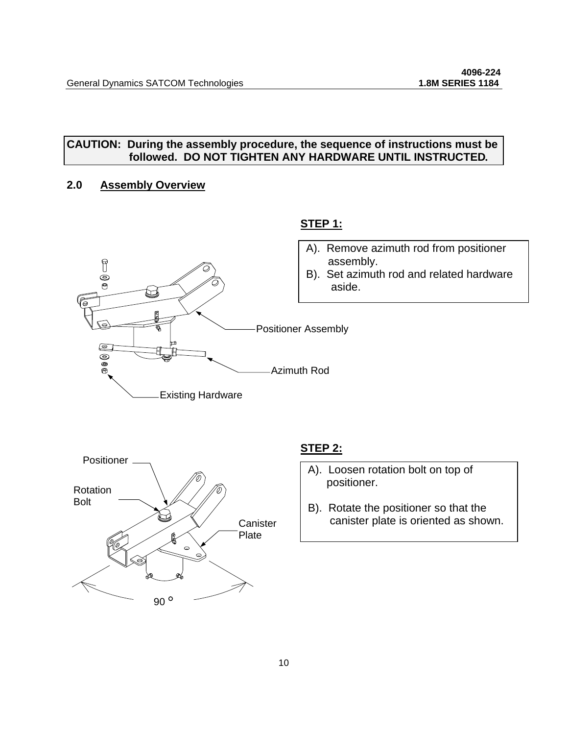# **CAUTION: During the assembly procedure, the sequence of instructions must be followed. DO NOT TIGHTEN ANY HARDWARE UNTIL INSTRUCTED.**

#### **2.0 Assembly Overview**

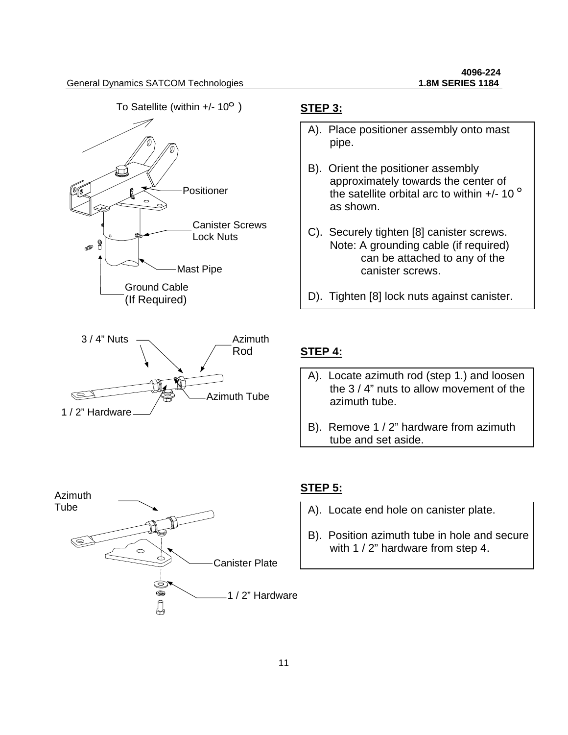**General Dynamics SATCOM Technologies** 





- A). Place positioner assembly onto mast pipe.
- B). Orient the positioner assembly approximately towards the center of the satellite orbital arc to within  $+/- 10$ <sup>o</sup> as shown.
- C). Securely tighten [8] canister screws. Note: A grounding cable (if required) can be attached to any of the canister screws.
- D). Tighten [8] lock nuts against canister.

## **STEP 4:**

- A). Locate azimuth rod (step 1.) and loosen the 3 / 4" nuts to allow movement of the azimuth tube.
- B). Remove 1 / 2" hardware from azimuth tube and set aside.



## **STEP 5:**

- A). Locate end hole on canister plate.
- B). Position azimuth tube in hole and secure with 1 / 2" hardware from step 4.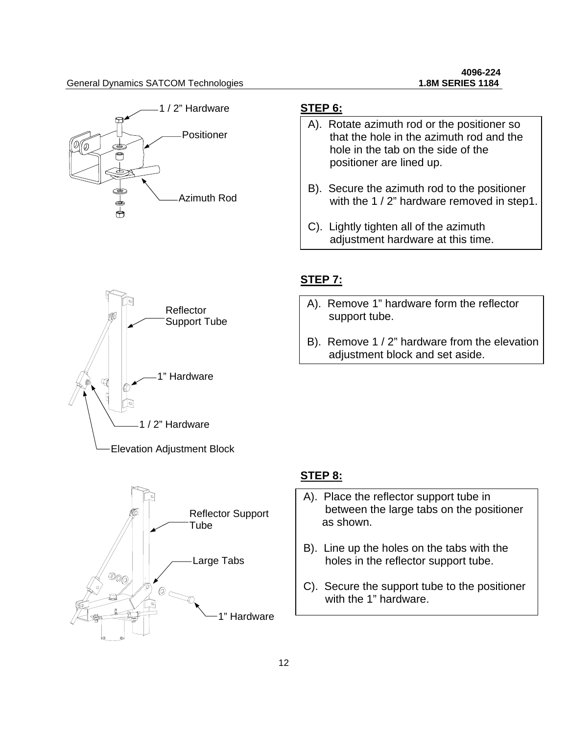#### **General Dynamics SATCOM Technologies**







- A). Rotate azimuth rod or the positioner so that the hole in the azimuth rod and the hole in the tab on the side of the positioner are lined up.
- B). Secure the azimuth rod to the positioner with the 1 / 2" hardware removed in step1.
- C). Lightly tighten all of the azimuth adjustment hardware at this time.

#### **STEP 7:**

- A). Remove 1" hardware form the reflector support tube.
- B). Remove 1 / 2" hardware from the elevation adjustment block and set aside.

# **STEP 8:**

- A). Place the reflector support tube in between the large tabs on the positioner as shown.
- B). Line up the holes on the tabs with the holes in the reflector support tube.
- C). Secure the support tube to the positioner with the 1" hardware.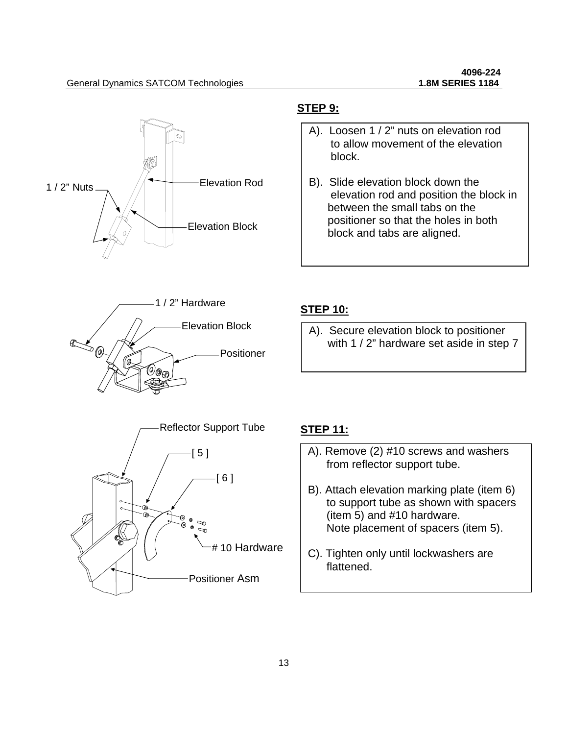Elevation Rod Elevation Block 1 / 2" Nuts

# **STEP 9:**

- A). Loosen 1 / 2" nuts on elevation rod to allow movement of the elevation block.
- B). Slide elevation block down the elevation rod and position the block in between the small tabs on the positioner so that the holes in both block and tabs are aligned.



# **STEP 10:**

 A). Secure elevation block to positioner with 1 / 2" hardware set aside in step 7



- A). Remove (2) #10 screws and washers from reflector support tube.
- B). Attach elevation marking plate (item 6) to support tube as shown with spacers (item 5) and #10 hardware. Note placement of spacers (item 5).
- C). Tighten only until lockwashers are flattened.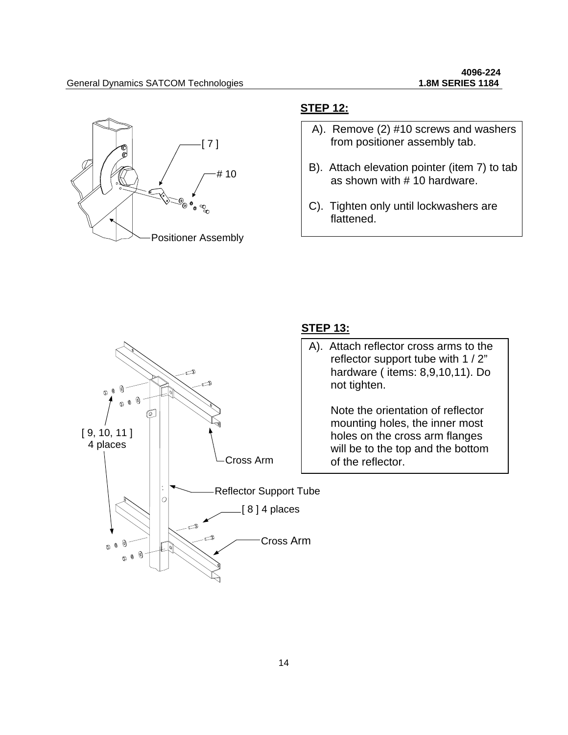

# **STEP 12:**

- A). Remove (2) #10 screws and washers from positioner assembly tab.
- B). Attach elevation pointer (item 7) to tab as shown with # 10 hardware.
- C). Tighten only until lockwashers are flattened.



# **STEP 13:**

 A). Attach reflector cross arms to the reflector support tube with 1 / 2" hardware ( items: 8,9,10,11). Do not tighten.

> Note the orientation of reflector mounting holes, the inner most holes on the cross arm flanges will be to the top and the bottom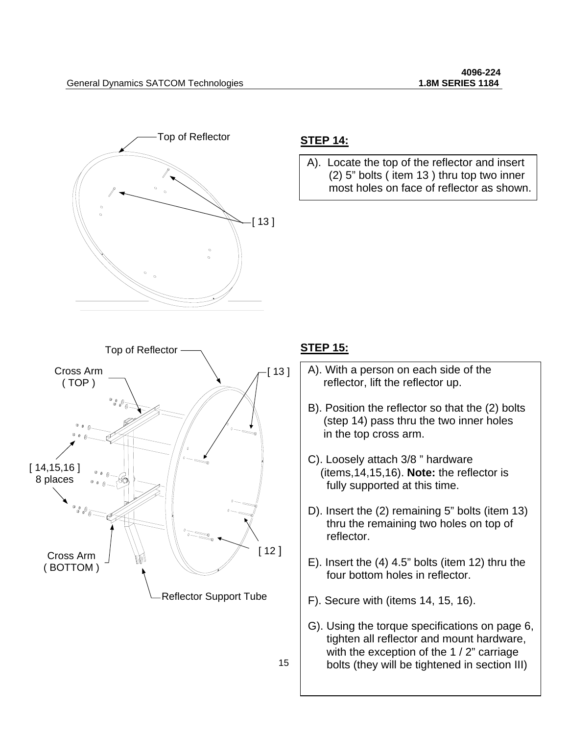

 A). Locate the top of the reflector and insert (2) 5" bolts ( item 13 ) thru top two inner most holes on face of reflector as shown.



Reflector Support Tube

( BOTTOM )

- A). With a person on each side of the reflector, lift the reflector up.
- B). Position the reflector so that the (2) bolts (step 14) pass thru the two inner holes in the top cross arm.
- C). Loosely attach 3/8 " hardware (items,14,15,16). **Note:** the reflector is fully supported at this time.
- D). Insert the (2) remaining 5" bolts (item 13) thru the remaining two holes on top of reflector.
- E). Insert the (4) 4.5" bolts (item 12) thru the four bottom holes in reflector.
- F). Secure with (items 14, 15, 16).
- G). Using the torque specifications on page 6, tighten all reflector and mount hardware, with the exception of the 1 / 2" carriage bolts (they will be tightened in section III)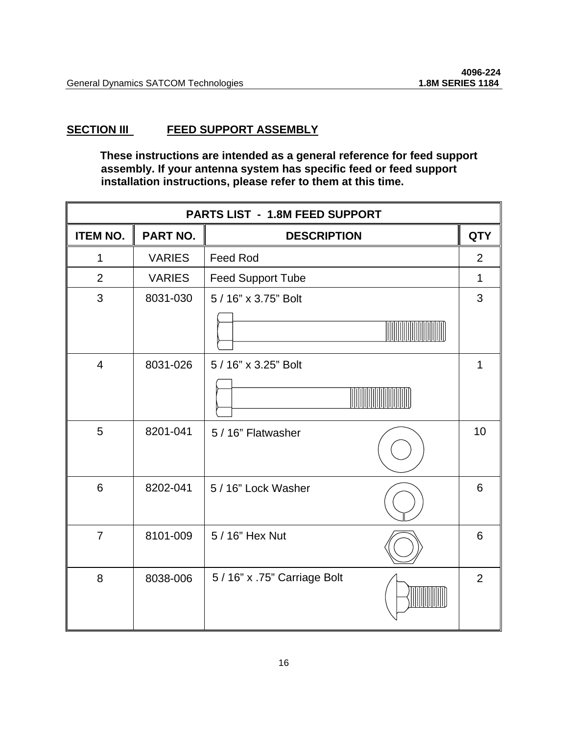# **SECTION III FEED SUPPORT ASSEMBLY**

 **These instructions are intended as a general reference for feed support assembly. If your antenna system has specific feed or feed support installation instructions, please refer to them at this time.** 

| PARTS LIST - 1.8M FEED SUPPORT |               |                              |                |  |
|--------------------------------|---------------|------------------------------|----------------|--|
| <b>ITEM NO.</b>                | PART NO.      | <b>DESCRIPTION</b>           | <b>QTY</b>     |  |
| $\mathbf 1$                    | <b>VARIES</b> | Feed Rod                     | $\overline{2}$ |  |
| $\overline{2}$                 | <b>VARIES</b> | <b>Feed Support Tube</b>     | $\mathbf{1}$   |  |
| 3                              | 8031-030      | 5 / 16" x 3.75" Bolt         | 3              |  |
|                                |               |                              |                |  |
| $\overline{\mathcal{A}}$       | 8031-026      | 5 / 16" x 3.25" Bolt         | 1              |  |
|                                |               |                              |                |  |
| 5                              | 8201-041      | 5 / 16" Flatwasher           | 10             |  |
| 6                              | 8202-041      | 5 / 16" Lock Washer          | 6              |  |
| $\overline{7}$                 | 8101-009      | 5 / 16" Hex Nut              | 6              |  |
| 8                              | 8038-006      | 5 / 16" x .75" Carriage Bolt | $\overline{2}$ |  |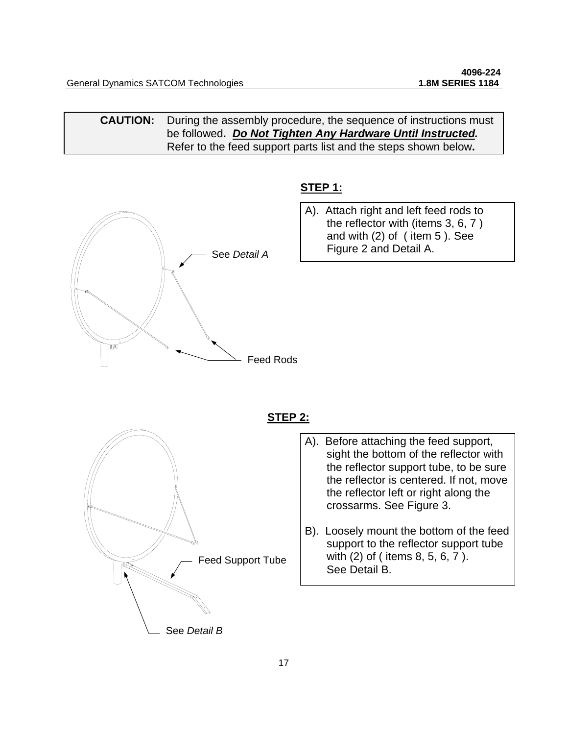# **CAUTION:** During the assembly procedure, the sequence of instructions must be followed**.** *Do Not Tighten Any Hardware Until Instructed.*  Refer to the feed support parts list and the steps shown below**.**



# **STEP 1:**

 A). Attach right and left feed rods to the reflector with (items 3, 6, 7 ) and with (2) of ( item 5 ). See Figure 2 and Detail A.

## **STEP 2:**



- A). Before attaching the feed support, sight the bottom of the reflector with the reflector support tube, to be sure the reflector is centered. If not, move the reflector left or right along the crossarms. See Figure 3.
- B). Loosely mount the bottom of the feed support to the reflector support tube with (2) of ( items 8, 5, 6, 7 ).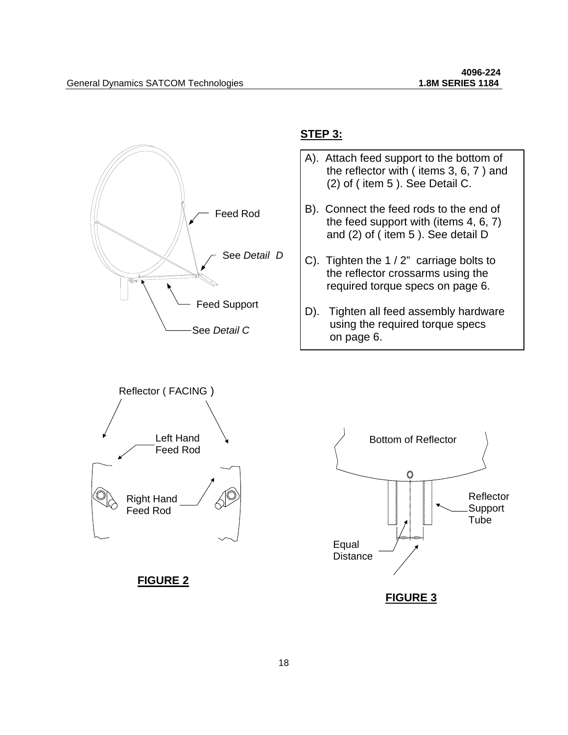

### **STEP 3:**

- A). Attach feed support to the bottom of the reflector with ( items 3, 6, 7 ) and (2) of ( item 5 ). See Detail C.
- B). Connect the feed rods to the end of the feed support with (items 4, 6, 7) and (2) of ( item 5 ). See detail D
- C). Tighten the 1 / 2" carriage bolts to the reflector crossarms using the required torque specs on page 6.
- D). Tighten all feed assembly hardware using the required torque specs on page 6.



**FIGURE 2**

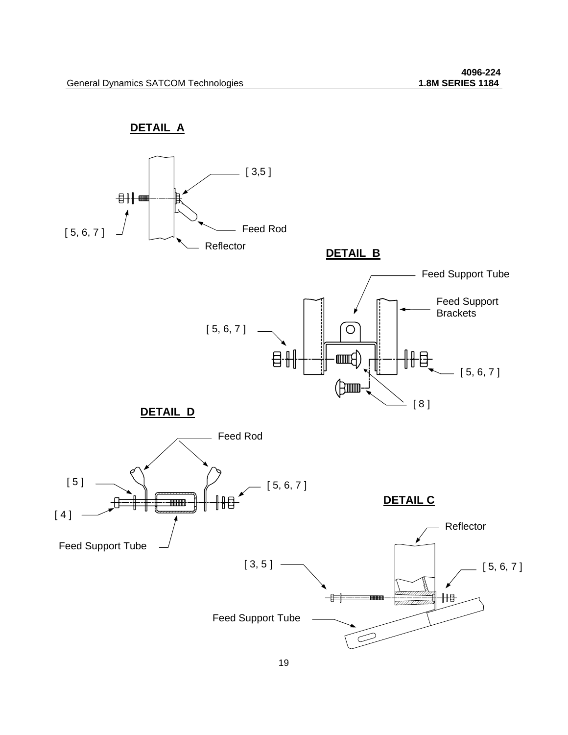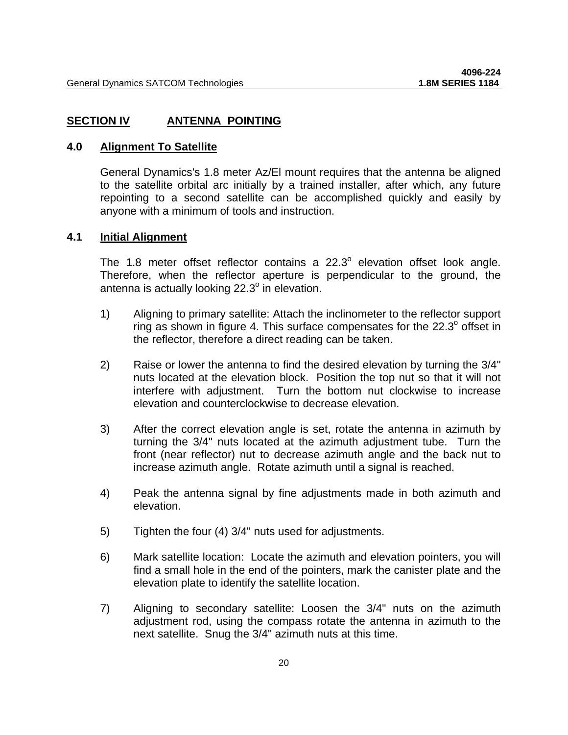# **SECTION IV ANTENNA POINTING**

#### **4.0 Alignment To Satellite**

 General Dynamics's 1.8 meter Az/El mount requires that the antenna be aligned to the satellite orbital arc initially by a trained installer, after which, any future repointing to a second satellite can be accomplished quickly and easily by anyone with a minimum of tools and instruction.

### **4.1 Initial Alignment**

The 1.8 meter offset reflector contains a  $22.3^\circ$  elevation offset look angle. Therefore, when the reflector aperture is perpendicular to the ground, the antenna is actually looking 22.3 $^{\circ}$  in elevation.

- 1) Aligning to primary satellite: Attach the inclinometer to the reflector support ring as shown in figure 4. This surface compensates for the  $22.3^\circ$  offset in the reflector, therefore a direct reading can be taken.
- 2) Raise or lower the antenna to find the desired elevation by turning the 3/4" nuts located at the elevation block. Position the top nut so that it will not interfere with adjustment. Turn the bottom nut clockwise to increase elevation and counterclockwise to decrease elevation.
- 3) After the correct elevation angle is set, rotate the antenna in azimuth by turning the 3/4" nuts located at the azimuth adjustment tube. Turn the front (near reflector) nut to decrease azimuth angle and the back nut to increase azimuth angle. Rotate azimuth until a signal is reached.
- 4) Peak the antenna signal by fine adjustments made in both azimuth and elevation.
- 5) Tighten the four (4) 3/4" nuts used for adjustments.
- 6) Mark satellite location: Locate the azimuth and elevation pointers, you will find a small hole in the end of the pointers, mark the canister plate and the elevation plate to identify the satellite location.
- 7) Aligning to secondary satellite: Loosen the 3/4" nuts on the azimuth adjustment rod, using the compass rotate the antenna in azimuth to the next satellite. Snug the 3/4" azimuth nuts at this time.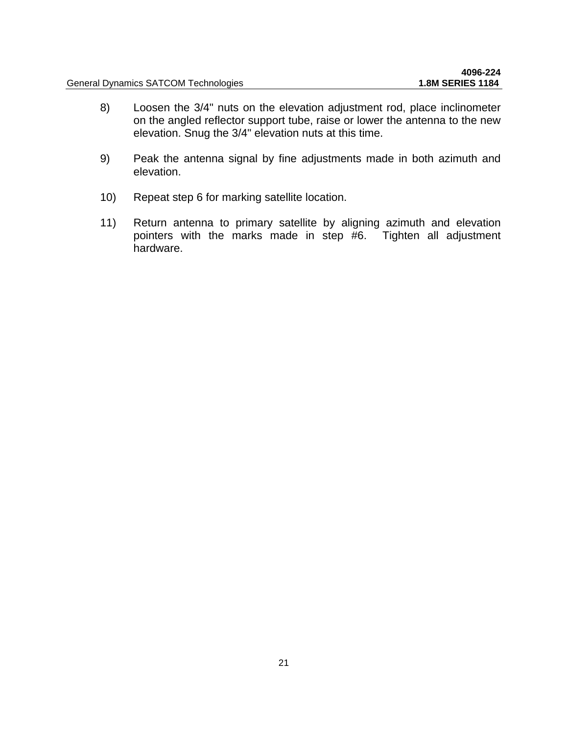- 8) Loosen the 3/4" nuts on the elevation adjustment rod, place inclinometer on the angled reflector support tube, raise or lower the antenna to the new elevation. Snug the 3/4" elevation nuts at this time.
- 9) Peak the antenna signal by fine adjustments made in both azimuth and elevation.
- 10) Repeat step 6 for marking satellite location.
- 11) Return antenna to primary satellite by aligning azimuth and elevation pointers with the marks made in step #6. Tighten all adjustment hardware.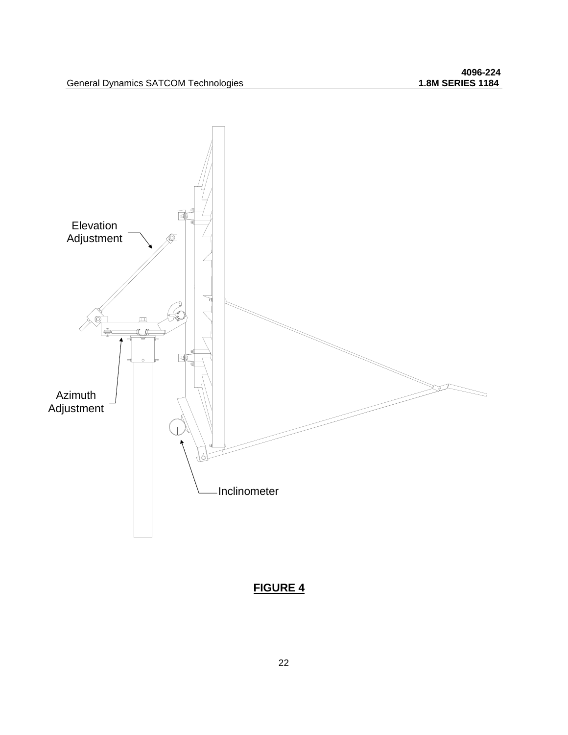

# **FIGURE 4**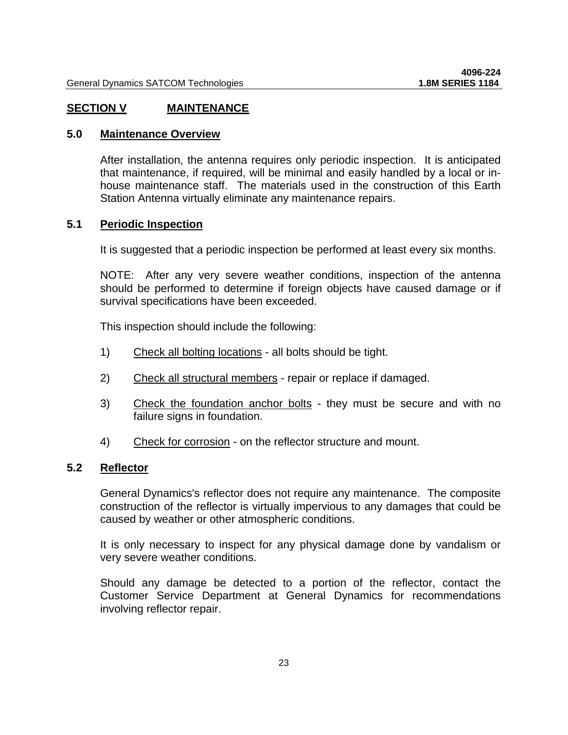## **SECTION V MAINTENANCE**

#### **5.0 Maintenance Overview**

After installation, the antenna requires only periodic inspection. It is anticipated that maintenance, if required, will be minimal and easily handled by a local or inhouse maintenance staff. The materials used in the construction of this Earth Station Antenna virtually eliminate any maintenance repairs.

#### **5.1 Periodic Inspection**

It is suggested that a periodic inspection be performed at least every six months.

 NOTE: After any very severe weather conditions, inspection of the antenna should be performed to determine if foreign objects have caused damage or if survival specifications have been exceeded.

This inspection should include the following:

- 1) Check all bolting locations all bolts should be tight.
- 2) Check all structural members repair or replace if damaged.
- 3) Check the foundation anchor bolts they must be secure and with no failure signs in foundation.
- 4) Check for corrosion on the reflector structure and mount.

#### **5.2 Reflector**

 General Dynamics's reflector does not require any maintenance. The composite construction of the reflector is virtually impervious to any damages that could be caused by weather or other atmospheric conditions.

 It is only necessary to inspect for any physical damage done by vandalism or very severe weather conditions.

 Should any damage be detected to a portion of the reflector, contact the Customer Service Department at General Dynamics for recommendations involving reflector repair.